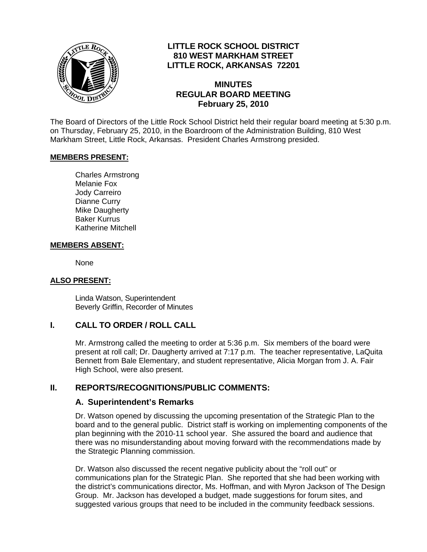

## **LITTLE ROCK SCHOOL DISTRICT 810 WEST MARKHAM STREET LITTLE ROCK, ARKANSAS 72201**

#### **MINUTES REGULAR BOARD MEETING February 25, 2010**

The Board of Directors of the Little Rock School District held their regular board meeting at 5:30 p.m. on Thursday, February 25, 2010, in the Boardroom of the Administration Building, 810 West Markham Street, Little Rock, Arkansas. President Charles Armstrong presided.

#### **MEMBERS PRESENT:**

Charles Armstrong Melanie Fox Jody Carreiro Dianne Curry Mike Daugherty Baker Kurrus Katherine Mitchell

#### **MEMBERS ABSENT:**

None

#### **ALSO PRESENT:**

 Linda Watson, Superintendent Beverly Griffin, Recorder of Minutes

## **I. CALL TO ORDER / ROLL CALL**

Mr. Armstrong called the meeting to order at 5:36 p.m. Six members of the board were present at roll call; Dr. Daugherty arrived at 7:17 p.m. The teacher representative, LaQuita Bennett from Bale Elementary, and student representative, Alicia Morgan from J. A. Fair High School, were also present.

#### **II. REPORTS/RECOGNITIONS/PUBLIC COMMENTS:**

#### **A. Superintendent's Remarks**

Dr. Watson opened by discussing the upcoming presentation of the Strategic Plan to the board and to the general public. District staff is working on implementing components of the plan beginning with the 2010-11 school year. She assured the board and audience that there was no misunderstanding about moving forward with the recommendations made by the Strategic Planning commission.

Dr. Watson also discussed the recent negative publicity about the "roll out" or communications plan for the Strategic Plan. She reported that she had been working with the district's communications director, Ms. Hoffman, and with Myron Jackson of The Design Group. Mr. Jackson has developed a budget, made suggestions for forum sites, and suggested various groups that need to be included in the community feedback sessions.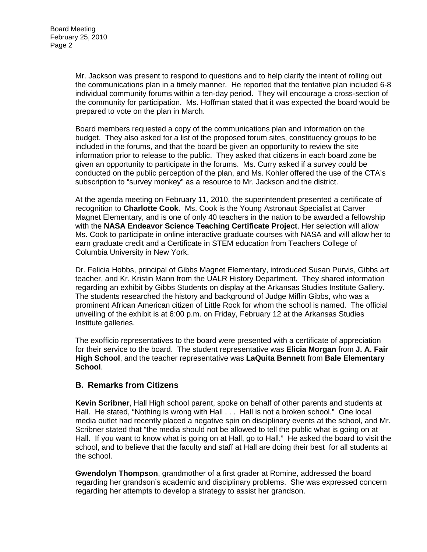Mr. Jackson was present to respond to questions and to help clarify the intent of rolling out the communications plan in a timely manner. He reported that the tentative plan included 6-8 individual community forums within a ten-day period. They will encourage a cross-section of the community for participation. Ms. Hoffman stated that it was expected the board would be prepared to vote on the plan in March.

Board members requested a copy of the communications plan and information on the budget. They also asked for a list of the proposed forum sites, constituency groups to be included in the forums, and that the board be given an opportunity to review the site information prior to release to the public. They asked that citizens in each board zone be given an opportunity to participate in the forums. Ms. Curry asked if a survey could be conducted on the public perception of the plan, and Ms. Kohler offered the use of the CTA's subscription to "survey monkey" as a resource to Mr. Jackson and the district.

At the agenda meeting on February 11, 2010, the superintendent presented a certificate of recognition to **Charlotte Cook.** Ms. Cook is the Young Astronaut Specialist at Carver Magnet Elementary, and is one of only 40 teachers in the nation to be awarded a fellowship with the **NASA Endeavor Science Teaching Certificate Project**. Her selection will allow Ms. Cook to participate in online interactive graduate courses with NASA and will allow her to earn graduate credit and a Certificate in STEM education from Teachers College of Columbia University in New York.

Dr. Felicia Hobbs, principal of Gibbs Magnet Elementary, introduced Susan Purvis, Gibbs art teacher, and Kr. Kristin Mann from the UALR History Department. They shared information regarding an exhibit by Gibbs Students on display at the Arkansas Studies Institute Gallery. The students researched the history and background of Judge Miflin Gibbs, who was a prominent African American citizen of Little Rock for whom the school is named. The official unveiling of the exhibit is at 6:00 p.m. on Friday, February 12 at the Arkansas Studies Institute galleries.

The exofficio representatives to the board were presented with a certificate of appreciation for their service to the board. The student representative was **Elicia Morgan** from **J. A. Fair High School**, and the teacher representative was **LaQuita Bennett** from **Bale Elementary School**.

## **B. Remarks from Citizens**

**Kevin Scribner**, Hall High school parent, spoke on behalf of other parents and students at Hall. He stated, "Nothing is wrong with Hall . . . Hall is not a broken school." One local media outlet had recently placed a negative spin on disciplinary events at the school, and Mr. Scribner stated that "the media should not be allowed to tell the public what is going on at Hall. If you want to know what is going on at Hall, go to Hall." He asked the board to visit the school, and to believe that the faculty and staff at Hall are doing their best for all students at the school.

**Gwendolyn Thompson**, grandmother of a first grader at Romine, addressed the board regarding her grandson's academic and disciplinary problems. She was expressed concern regarding her attempts to develop a strategy to assist her grandson.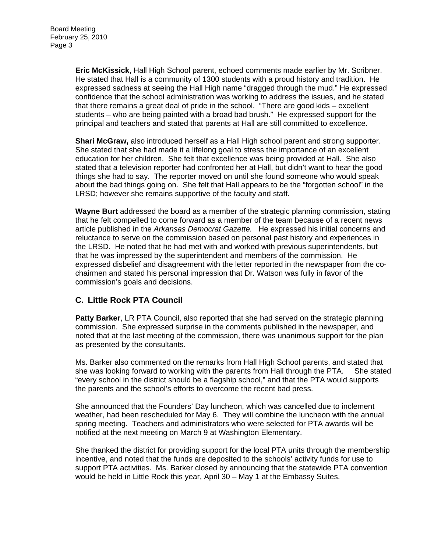**Eric McKissick**, Hall High School parent, echoed comments made earlier by Mr. Scribner. He stated that Hall is a community of 1300 students with a proud history and tradition. He expressed sadness at seeing the Hall High name "dragged through the mud." He expressed confidence that the school administration was working to address the issues, and he stated that there remains a great deal of pride in the school. "There are good kids – excellent students – who are being painted with a broad bad brush." He expressed support for the principal and teachers and stated that parents at Hall are still committed to excellence.

**Shari McGraw,** also introduced herself as a Hall High school parent and strong supporter. She stated that she had made it a lifelong goal to stress the importance of an excellent education for her children. She felt that excellence was being provided at Hall. She also stated that a television reporter had confronted her at Hall, but didn't want to hear the good things she had to say. The reporter moved on until she found someone who would speak about the bad things going on. She felt that Hall appears to be the "forgotten school" in the LRSD; however she remains supportive of the faculty and staff.

**Wayne Burt** addressed the board as a member of the strategic planning commission, stating that he felt compelled to come forward as a member of the team because of a recent news article published in the *Arkansas Democrat Gazette.* He expressed his initial concerns and reluctance to serve on the commission based on personal past history and experiences in the LRSD. He noted that he had met with and worked with previous superintendents, but that he was impressed by the superintendent and members of the commission. He expressed disbelief and disagreement with the letter reported in the newspaper from the cochairmen and stated his personal impression that Dr. Watson was fully in favor of the commission's goals and decisions.

# **C. Little Rock PTA Council**

**Patty Barker**, LR PTA Council, also reported that she had served on the strategic planning commission. She expressed surprise in the comments published in the newspaper, and noted that at the last meeting of the commission, there was unanimous support for the plan as presented by the consultants.

Ms. Barker also commented on the remarks from Hall High School parents, and stated that she was looking forward to working with the parents from Hall through the PTA. She stated "every school in the district should be a flagship school," and that the PTA would supports the parents and the school's efforts to overcome the recent bad press.

She announced that the Founders' Day luncheon, which was cancelled due to inclement weather, had been rescheduled for May 6. They will combine the luncheon with the annual spring meeting. Teachers and administrators who were selected for PTA awards will be notified at the next meeting on March 9 at Washington Elementary.

She thanked the district for providing support for the local PTA units through the membership incentive, and noted that the funds are deposited to the schools' activity funds for use to support PTA activities. Ms. Barker closed by announcing that the statewide PTA convention would be held in Little Rock this year, April 30 – May 1 at the Embassy Suites.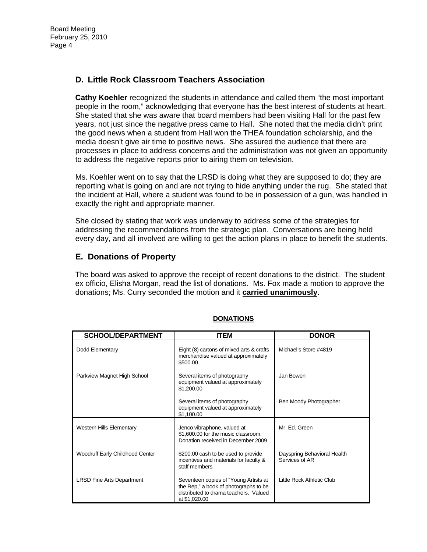## **D. Little Rock Classroom Teachers Association**

**Cathy Koehler** recognized the students in attendance and called them "the most important people in the room," acknowledging that everyone has the best interest of students at heart. She stated that she was aware that board members had been visiting Hall for the past few years, not just since the negative press came to Hall. She noted that the media didn't print the good news when a student from Hall won the THEA foundation scholarship, and the media doesn't give air time to positive news. She assured the audience that there are processes in place to address concerns and the administration was not given an opportunity to address the negative reports prior to airing them on television.

Ms. Koehler went on to say that the LRSD is doing what they are supposed to do; they are reporting what is going on and are not trying to hide anything under the rug. She stated that the incident at Hall, where a student was found to be in possession of a gun, was handled in exactly the right and appropriate manner.

She closed by stating that work was underway to address some of the strategies for addressing the recommendations from the strategic plan. Conversations are being held every day, and all involved are willing to get the action plans in place to benefit the students.

## **E. Donations of Property**

The board was asked to approve the receipt of recent donations to the district. The student ex officio, Elisha Morgan, read the list of donations. Ms. Fox made a motion to approve the donations; Ms. Curry seconded the motion and it **carried unanimously**.

| <b>SCHOOL/DEPARTMENT</b>         | <b>ITEM</b>                                                                                                                              | <b>DONOR</b>                                  |
|----------------------------------|------------------------------------------------------------------------------------------------------------------------------------------|-----------------------------------------------|
| Dodd Elementary                  | Eight (8) cartons of mixed arts & crafts<br>merchandise valued at approximately<br>\$500.00                                              | Michael's Store #4819                         |
| Parkview Magnet High School      | Several items of photography<br>equipment valued at approximately<br>\$1,200.00                                                          | Jan Bowen                                     |
|                                  | Several items of photography<br>equipment valued at approximately<br>\$1,100.00                                                          | Ben Moody Photographer                        |
| <b>Western Hills Elementary</b>  | Jenco vibraphone, valued at<br>\$1,600.00 for the music classroom.<br>Donation received in December 2009                                 | Mr. Ed. Green                                 |
| Woodruff Early Childhood Center  | \$200.00 cash to be used to provide<br>incentives and materials for faculty &<br>staff members                                           | Dayspring Behavioral Health<br>Services of AR |
| <b>LRSD Fine Arts Department</b> | Seventeen copies of "Young Artists at<br>the Rep," a book of photographs to be<br>distributed to drama teachers. Valued<br>at \$1,020.00 | Little Rock Athletic Club                     |

#### **DONATIONS**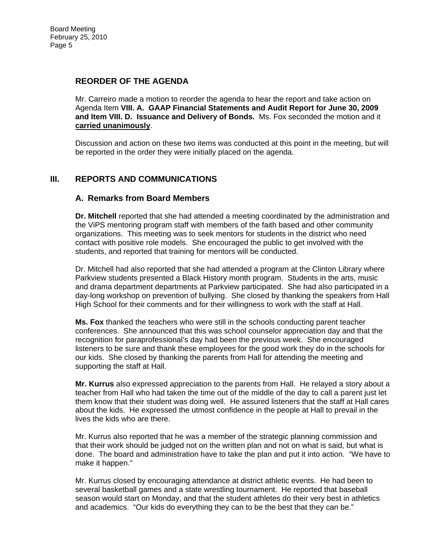#### **REORDER OF THE AGENDA**

Mr. Carreiro made a motion to reorder the agenda to hear the report and take action on Agenda Item **VIII. A. GAAP Financial Statements and Audit Report for June 30, 2009 and Item VIII. D. Issuance and Delivery of Bonds.** Ms. Fox seconded the motion and it **carried unanimously**.

Discussion and action on these two items was conducted at this point in the meeting, but will be reported in the order they were initially placed on the agenda.

## **III. REPORTS AND COMMUNICATIONS**

## **A. Remarks from Board Members**

**Dr. Mitchell** reported that she had attended a meeting coordinated by the administration and the ViPS mentoring program staff with members of the faith based and other community organizations. This meeting was to seek mentors for students in the district who need contact with positive role models. She encouraged the public to get involved with the students, and reported that training for mentors will be conducted.

Dr. Mitchell had also reported that she had attended a program at the Clinton Library where Parkview students presented a Black History month program. Students in the arts, music and drama department departments at Parkview participated. She had also participated in a day-long workshop on prevention of bullying. She closed by thanking the speakers from Hall High School for their comments and for their willingness to work with the staff at Hall.

**Ms. Fox** thanked the teachers who were still in the schools conducting parent teacher conferences. She announced that this was school counselor appreciation day and that the recognition for paraprofessional's day had been the previous week. She encouraged listeners to be sure and thank these employees for the good work they do in the schools for our kids. She closed by thanking the parents from Hall for attending the meeting and supporting the staff at Hall.

**Mr. Kurrus** also expressed appreciation to the parents from Hall. He relayed a story about a teacher from Hall who had taken the time out of the middle of the day to call a parent just let them know that their student was doing well. He assured listeners that the staff at Hall cares about the kids. He expressed the utmost confidence in the people at Hall to prevail in the lives the kids who are there.

Mr. Kurrus also reported that he was a member of the strategic planning commission and that their work should be judged not on the written plan and not on what is said, but what is done. The board and administration have to take the plan and put it into action. "We have to make it happen."

Mr. Kurrus closed by encouraging attendance at district athletic events. He had been to several basketball games and a state wrestling tournament. He reported that baseball season would start on Monday, and that the student athletes do their very best in athletics and academics. "Our kids do everything they can to be the best that they can be."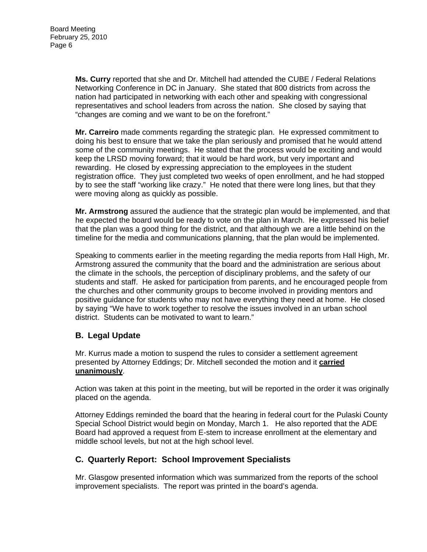**Ms. Curry** reported that she and Dr. Mitchell had attended the CUBE / Federal Relations Networking Conference in DC in January. She stated that 800 districts from across the nation had participated in networking with each other and speaking with congressional representatives and school leaders from across the nation. She closed by saying that "changes are coming and we want to be on the forefront."

**Mr. Carreiro** made comments regarding the strategic plan. He expressed commitment to doing his best to ensure that we take the plan seriously and promised that he would attend some of the community meetings. He stated that the process would be exciting and would keep the LRSD moving forward; that it would be hard work, but very important and rewarding. He closed by expressing appreciation to the employees in the student registration office. They just completed two weeks of open enrollment, and he had stopped by to see the staff "working like crazy." He noted that there were long lines, but that they were moving along as quickly as possible.

**Mr. Armstrong** assured the audience that the strategic plan would be implemented, and that he expected the board would be ready to vote on the plan in March. He expressed his belief that the plan was a good thing for the district, and that although we are a little behind on the timeline for the media and communications planning, that the plan would be implemented.

Speaking to comments earlier in the meeting regarding the media reports from Hall High, Mr. Armstrong assured the community that the board and the administration are serious about the climate in the schools, the perception of disciplinary problems, and the safety of our students and staff. He asked for participation from parents, and he encouraged people from the churches and other community groups to become involved in providing mentors and positive guidance for students who may not have everything they need at home. He closed by saying "We have to work together to resolve the issues involved in an urban school district. Students can be motivated to want to learn."

# **B. Legal Update**

Mr. Kurrus made a motion to suspend the rules to consider a settlement agreement presented by Attorney Eddings; Dr. Mitchell seconded the motion and it **carried unanimously**.

Action was taken at this point in the meeting, but will be reported in the order it was originally placed on the agenda.

Attorney Eddings reminded the board that the hearing in federal court for the Pulaski County Special School District would begin on Monday, March 1. He also reported that the ADE Board had approved a request from E-stem to increase enrollment at the elementary and middle school levels, but not at the high school level.

## **C. Quarterly Report: School Improvement Specialists**

Mr. Glasgow presented information which was summarized from the reports of the school improvement specialists. The report was printed in the board's agenda.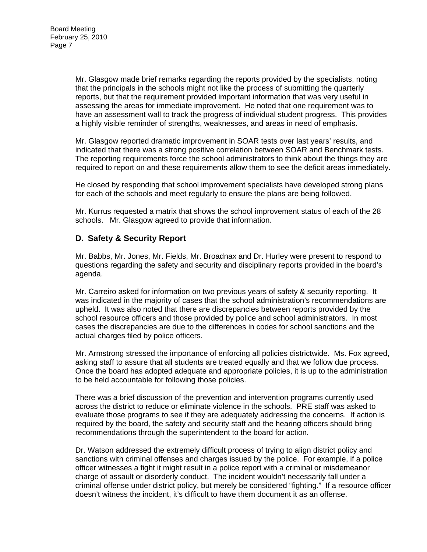Mr. Glasgow made brief remarks regarding the reports provided by the specialists, noting that the principals in the schools might not like the process of submitting the quarterly reports, but that the requirement provided important information that was very useful in assessing the areas for immediate improvement. He noted that one requirement was to have an assessment wall to track the progress of individual student progress. This provides a highly visible reminder of strengths, weaknesses, and areas in need of emphasis.

Mr. Glasgow reported dramatic improvement in SOAR tests over last years' results, and indicated that there was a strong positive correlation between SOAR and Benchmark tests. The reporting requirements force the school administrators to think about the things they are required to report on and these requirements allow them to see the deficit areas immediately.

He closed by responding that school improvement specialists have developed strong plans for each of the schools and meet regularly to ensure the plans are being followed.

Mr. Kurrus requested a matrix that shows the school improvement status of each of the 28 schools. Mr. Glasgow agreed to provide that information.

## **D. Safety & Security Report**

Mr. Babbs, Mr. Jones, Mr. Fields, Mr. Broadnax and Dr. Hurley were present to respond to questions regarding the safety and security and disciplinary reports provided in the board's agenda.

Mr. Carreiro asked for information on two previous years of safety & security reporting. It was indicated in the majority of cases that the school administration's recommendations are upheld. It was also noted that there are discrepancies between reports provided by the school resource officers and those provided by police and school administrators. In most cases the discrepancies are due to the differences in codes for school sanctions and the actual charges filed by police officers.

Mr. Armstrong stressed the importance of enforcing all policies districtwide. Ms. Fox agreed, asking staff to assure that all students are treated equally and that we follow due process. Once the board has adopted adequate and appropriate policies, it is up to the administration to be held accountable for following those policies.

There was a brief discussion of the prevention and intervention programs currently used across the district to reduce or eliminate violence in the schools. PRE staff was asked to evaluate those programs to see if they are adequately addressing the concerns. If action is required by the board, the safety and security staff and the hearing officers should bring recommendations through the superintendent to the board for action.

Dr. Watson addressed the extremely difficult process of trying to align district policy and sanctions with criminal offenses and charges issued by the police. For example, if a police officer witnesses a fight it might result in a police report with a criminal or misdemeanor charge of assault or disorderly conduct. The incident wouldn't necessarily fall under a criminal offense under district policy, but merely be considered "fighting." If a resource officer doesn't witness the incident, it's difficult to have them document it as an offense.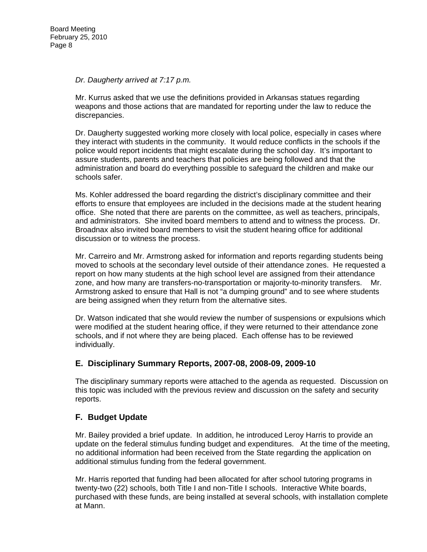#### *Dr. Daugherty arrived at 7:17 p.m.*

Mr. Kurrus asked that we use the definitions provided in Arkansas statues regarding weapons and those actions that are mandated for reporting under the law to reduce the discrepancies.

Dr. Daugherty suggested working more closely with local police, especially in cases where they interact with students in the community. It would reduce conflicts in the schools if the police would report incidents that might escalate during the school day. It's important to assure students, parents and teachers that policies are being followed and that the administration and board do everything possible to safeguard the children and make our schools safer.

Ms. Kohler addressed the board regarding the district's disciplinary committee and their efforts to ensure that employees are included in the decisions made at the student hearing office. She noted that there are parents on the committee, as well as teachers, principals, and administrators. She invited board members to attend and to witness the process. Dr. Broadnax also invited board members to visit the student hearing office for additional discussion or to witness the process.

Mr. Carreiro and Mr. Armstrong asked for information and reports regarding students being moved to schools at the secondary level outside of their attendance zones. He requested a report on how many students at the high school level are assigned from their attendance zone, and how many are transfers-no-transportation or majority-to-minority transfers. Mr. Armstrong asked to ensure that Hall is not "a dumping ground" and to see where students are being assigned when they return from the alternative sites.

Dr. Watson indicated that she would review the number of suspensions or expulsions which were modified at the student hearing office, if they were returned to their attendance zone schools, and if not where they are being placed. Each offense has to be reviewed individually.

## **E. Disciplinary Summary Reports, 2007-08, 2008-09, 2009-10**

The disciplinary summary reports were attached to the agenda as requested. Discussion on this topic was included with the previous review and discussion on the safety and security reports.

# **F. Budget Update**

Mr. Bailey provided a brief update. In addition, he introduced Leroy Harris to provide an update on the federal stimulus funding budget and expenditures. At the time of the meeting, no additional information had been received from the State regarding the application on additional stimulus funding from the federal government.

Mr. Harris reported that funding had been allocated for after school tutoring programs in twenty-two (22) schools, both Title I and non-Title I schools. Interactive White boards, purchased with these funds, are being installed at several schools, with installation complete at Mann.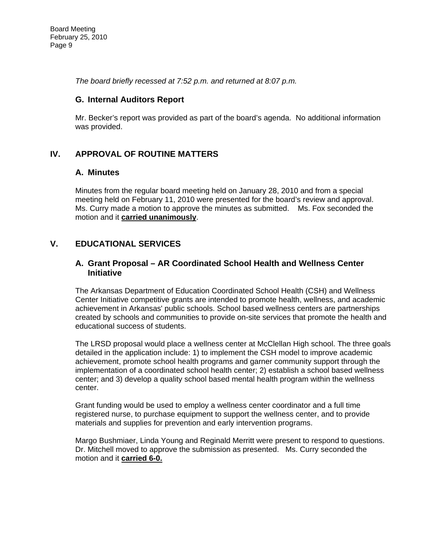*The board briefly recessed at 7:52 p.m. and returned at 8:07 p.m.* 

#### **G. Internal Auditors Report**

Mr. Becker's report was provided as part of the board's agenda. No additional information was provided.

## **IV. APPROVAL OF ROUTINE MATTERS**

#### **A. Minutes**

Minutes from the regular board meeting held on January 28, 2010 and from a special meeting held on February 11, 2010 were presented for the board's review and approval. Ms. Curry made a motion to approve the minutes as submitted. Ms. Fox seconded the motion and it **carried unanimously**.

## **V. EDUCATIONAL SERVICES**

#### **A. Grant Proposal – AR Coordinated School Health and Wellness Center Initiative**

The Arkansas Department of Education Coordinated School Health (CSH) and Wellness Center Initiative competitive grants are intended to promote health, wellness, and academic achievement in Arkansas' public schools. School based wellness centers are partnerships created by schools and communities to provide on-site services that promote the health and educational success of students.

The LRSD proposal would place a wellness center at McClellan High school. The three goals detailed in the application include: 1) to implement the CSH model to improve academic achievement, promote school health programs and garner community support through the implementation of a coordinated school health center; 2) establish a school based wellness center; and 3) develop a quality school based mental health program within the wellness center.

Grant funding would be used to employ a wellness center coordinator and a full time registered nurse, to purchase equipment to support the wellness center, and to provide materials and supplies for prevention and early intervention programs.

Margo Bushmiaer, Linda Young and Reginald Merritt were present to respond to questions. Dr. Mitchell moved to approve the submission as presented. Ms. Curry seconded the motion and it **carried 6-0.**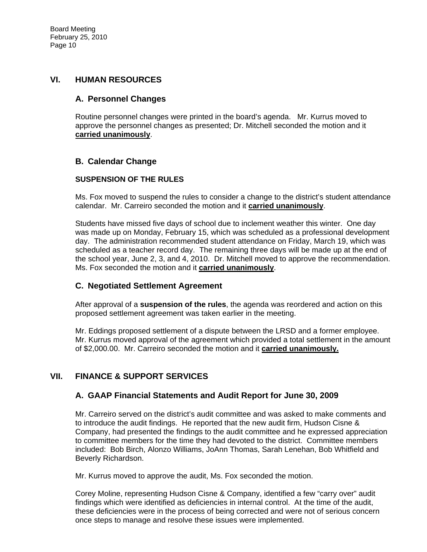#### **VI. HUMAN RESOURCES**

#### **A. Personnel Changes**

Routine personnel changes were printed in the board's agenda. Mr. Kurrus moved to approve the personnel changes as presented; Dr. Mitchell seconded the motion and it **carried unanimously**.

## **B. Calendar Change**

#### **SUSPENSION OF THE RULES**

Ms. Fox moved to suspend the rules to consider a change to the district's student attendance calendar. Mr. Carreiro seconded the motion and it **carried unanimously**.

Students have missed five days of school due to inclement weather this winter. One day was made up on Monday, February 15, which was scheduled as a professional development day. The administration recommended student attendance on Friday, March 19, which was scheduled as a teacher record day. The remaining three days will be made up at the end of the school year, June 2, 3, and 4, 2010. Dr. Mitchell moved to approve the recommendation. Ms. Fox seconded the motion and it **carried unanimously**.

## **C. Negotiated Settlement Agreement**

After approval of a **suspension of the rules**, the agenda was reordered and action on this proposed settlement agreement was taken earlier in the meeting.

Mr. Eddings proposed settlement of a dispute between the LRSD and a former employee. Mr. Kurrus moved approval of the agreement which provided a total settlement in the amount of \$2,000.00. Mr. Carreiro seconded the motion and it **carried unanimously.**

## **VII. FINANCE & SUPPORT SERVICES**

## **A. GAAP Financial Statements and Audit Report for June 30, 2009**

Mr. Carreiro served on the district's audit committee and was asked to make comments and to introduce the audit findings. He reported that the new audit firm, Hudson Cisne & Company, had presented the findings to the audit committee and he expressed appreciation to committee members for the time they had devoted to the district. Committee members included: Bob Birch, Alonzo Williams, JoAnn Thomas, Sarah Lenehan, Bob Whitfield and Beverly Richardson.

Mr. Kurrus moved to approve the audit, Ms. Fox seconded the motion.

Corey Moline, representing Hudson Cisne & Company, identified a few "carry over" audit findings which were identified as deficiencies in internal control. At the time of the audit, these deficiencies were in the process of being corrected and were not of serious concern once steps to manage and resolve these issues were implemented.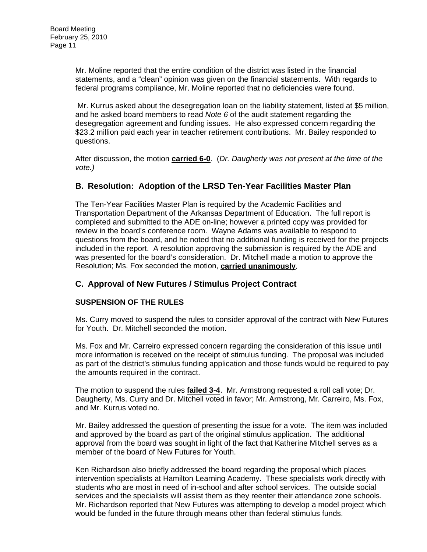Mr. Moline reported that the entire condition of the district was listed in the financial statements, and a "clean" opinion was given on the financial statements. With regards to federal programs compliance, Mr. Moline reported that no deficiencies were found.

 Mr. Kurrus asked about the desegregation loan on the liability statement, listed at \$5 million, and he asked board members to read *Note 6* of the audit statement regarding the desegregation agreement and funding issues. He also expressed concern regarding the \$23.2 million paid each year in teacher retirement contributions. Mr. Bailey responded to questions.

After discussion, the motion **carried 6-0**. (*Dr. Daugherty was not present at the time of the vote.)* 

## **B. Resolution: Adoption of the LRSD Ten-Year Facilities Master Plan**

The Ten-Year Facilities Master Plan is required by the Academic Facilities and Transportation Department of the Arkansas Department of Education. The full report is completed and submitted to the ADE on-line; however a printed copy was provided for review in the board's conference room. Wayne Adams was available to respond to questions from the board, and he noted that no additional funding is received for the projects included in the report. A resolution approving the submission is required by the ADE and was presented for the board's consideration. Dr. Mitchell made a motion to approve the Resolution; Ms. Fox seconded the motion, **carried unanimously**.

# **C. Approval of New Futures / Stimulus Project Contract**

## **SUSPENSION OF THE RULES**

Ms. Curry moved to suspend the rules to consider approval of the contract with New Futures for Youth. Dr. Mitchell seconded the motion.

Ms. Fox and Mr. Carreiro expressed concern regarding the consideration of this issue until more information is received on the receipt of stimulus funding. The proposal was included as part of the district's stimulus funding application and those funds would be required to pay the amounts required in the contract.

The motion to suspend the rules **failed 3-4**. Mr. Armstrong requested a roll call vote; Dr. Daugherty, Ms. Curry and Dr. Mitchell voted in favor; Mr. Armstrong, Mr. Carreiro, Ms. Fox, and Mr. Kurrus voted no.

Mr. Bailey addressed the question of presenting the issue for a vote. The item was included and approved by the board as part of the original stimulus application. The additional approval from the board was sought in light of the fact that Katherine Mitchell serves as a member of the board of New Futures for Youth.

Ken Richardson also briefly addressed the board regarding the proposal which places intervention specialists at Hamilton Learning Academy. These specialists work directly with students who are most in need of in-school and after school services. The outside social services and the specialists will assist them as they reenter their attendance zone schools. Mr. Richardson reported that New Futures was attempting to develop a model project which would be funded in the future through means other than federal stimulus funds.